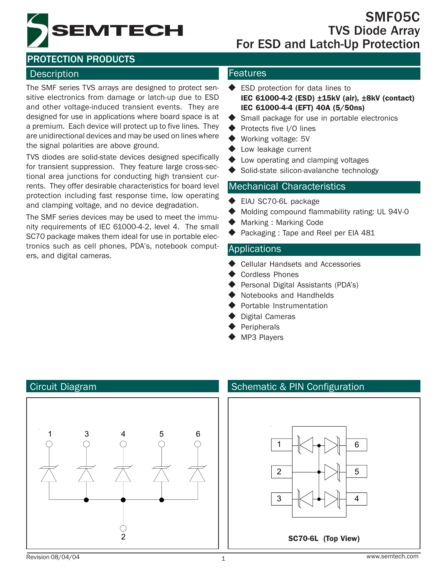

### Description **Features Features**

The SMF series TVS arrays are designed to protect sensitive electronics from damage or latch-up due to ESD and other voltage-induced transient events. They are designed for use in applications where board space is at a premium. Each device will protect up to five lines. They are unidirectional devices and may be used on lines where the signal polarities are above ground.

TVS diodes are solid-state devices designed specifically for transient suppression. They feature large cross-sectional area junctions for conducting high transient currents. They offer desirable characteristics for board level protection including fast response time, low operating and clamping voltage, and no device degradation.

The SMF series devices may be used to meet the immunity requirements of IEC 61000-4-2, level 4. The small SC70 package makes them ideal for use in portable electronics such as cell phones, PDA's, notebook computers, and digital cameras.

- ◆ ESD protection for data lines to IEC 61000-4-2 (ESD) ±15kV (air), ±8kV (contact) IEC 61000-4-4 (EFT) 40A (5/50ns)
- ◆ Small package for use in portable electronics
- ◆ Protects five I/O lines
- ◆ Working voltage: 5V
- ◆ Low leakage current
- ◆ Low operating and clamping voltages
- ◆ Solid-state silicon-avalanche technology

#### Mechanical Characteristics

- EIAJ SC70-6L package
- Molding compound flammability rating: UL 94V-0
- Marking : Marking Code
- Packaging : Tape and Reel per EIA 481

#### Applications

- Cellular Handsets and Accessories
- Cordless Phones
- Personal Digital Assistants (PDA's)
- Notebooks and Handhelds
- Portable Instrumentation
- Digital Cameras
- Peripherals
- MP3 Players



#### Circuit Diagram Schematic & PIN Configuration

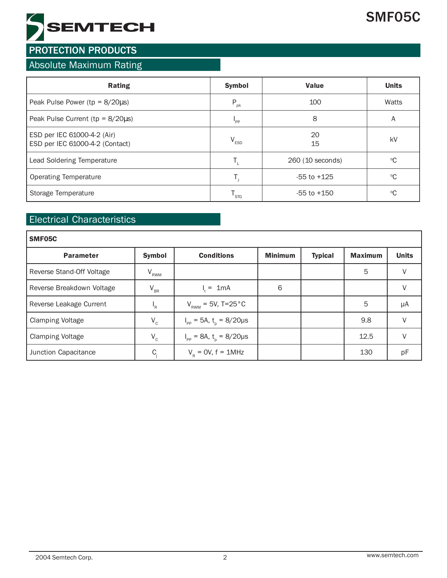

### Absolute Maximum Rating

| Rating                                                         | <b>Symbol</b>    | <b>Value</b>     | <b>Units</b>    |
|----------------------------------------------------------------|------------------|------------------|-----------------|
| Peak Pulse Power ( $tp = 8/20\mu s$ )                          | $P_{\rm pk}$     | 100              | Watts           |
| Peak Pulse Current ( $tp = 8/20\mu s$ )                        | "PP              | 8                | A               |
| ESD per IEC 61000-4-2 (Air)<br>ESD per IEC 61000-4-2 (Contact) | $V_{ESD}$        | 20<br>15         | kV              |
| Lead Soldering Temperature                                     |                  | 260 (10 seconds) | $\rm ^{o}C$     |
| Operating Temperature                                          |                  | $-55$ to $+125$  | $\rm ^{\circ}C$ |
| Storage Temperature                                            | <sup>I</sup> STG | $-55$ to $+150$  | $\rm ^{o}C$     |

### Electrical Characteristics

| SMF05C                    |               |                                                 |                |                |                |              |
|---------------------------|---------------|-------------------------------------------------|----------------|----------------|----------------|--------------|
| <b>Parameter</b>          | <b>Symbol</b> | <b>Conditions</b>                               | <b>Minimum</b> | <b>Typical</b> | <b>Maximum</b> | <b>Units</b> |
| Reverse Stand-Off Voltage | $V_{RWM}$     |                                                 |                |                | 5              | V            |
| Reverse Breakdown Voltage | $V_{BR}$      | $= 1mA$                                         | 6              |                |                | V            |
| Reverse Leakage Current   | $I_R$         | $V_{RWM} = 5V, T=25 °C$                         |                |                | 5              | μA           |
| <b>Clamping Voltage</b>   | $V_c$         | $I_{\text{pp}} = 5A, t_{\text{p}} = 8/20 \mu s$ |                |                | 9.8            | V            |
| <b>Clamping Voltage</b>   | $V_c$         | $I_{\text{pp}} = 8A, t_{\text{n}} = 8/20 \mu s$ |                |                | 12.5           | V            |
| Junction Capacitance      | C.            | $V_p = 0V$ , $f = 1MHz$                         |                |                | 130            | pF           |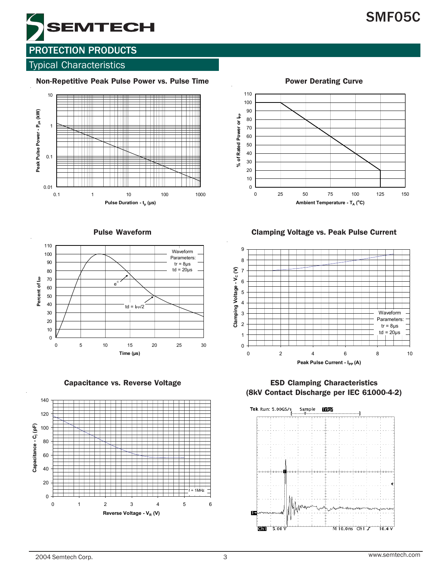# SMF05C



### **PROTECTION PRODUCTS**

#### Typical Characteristics

Non-Repetitive Peak Pulse Power vs. Pulse Time



Pulse Waveform





Power Derating Curve

Clamping Voltage vs. Peak Pulse Current

0 25 50 75 100 125 150 **Ambient Temperature - T<sub>A</sub> (°C)** 

**% of Rated Power or I<sub>PP</sub>** 

% of Rated Power or l<sub>PP</sub>



Capacitance vs. Reverse Voltage ESD Clamping Characteristics (8kV Contact Discharge per IEC 61000-4-2)

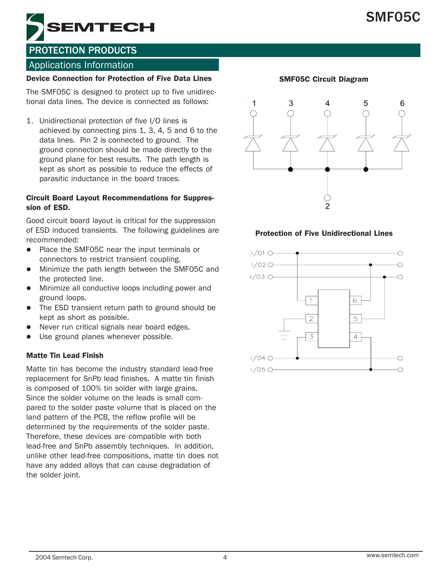# SMF05C



### PROTECTION PRODUCTS

#### Applications Information

#### Device Connection for Protection of Five Data Lines

The SMF05C is designed to protect up to five unidirectional data lines. The device is connected as follows:

1. Unidirectional protection of five I/O lines is achieved by connecting pins 1, 3, 4, 5 and 6 to the data lines. Pin 2 is connected to ground. The ground connection should be made directly to the ground plane for best results. The path length is kept as short as possible to reduce the effects of parasitic inductance in the board traces.

#### Circuit Board Layout Recommendations for Suppression of ESD.

Good circuit board layout is critical for the suppression of ESD induced transients. The following guidelines are recommended:

- Place the SMF05C near the input terminals or connectors to restrict transient coupling.
- Minimize the path length between the SMF05C and the protected line.
- Minimize all conductive loops including power and ground loops.
- The ESD transient return path to ground should be kept as short as possible.
- Never run critical signals near board edges.
- Use ground planes whenever possible.

#### Matte Tin Lead Finish

Matte tin has become the industry standard lead-free replacement for SnPb lead finishes. A matte tin finish is composed of 100% tin solder with large grains. Since the solder volume on the leads is small compared to the solder paste volume that is placed on the land pattern of the PCB, the reflow profile will be determined by the requirements of the solder paste. Therefore, these devices are compatible with both lead-free and SnPb assembly techniques. In addition, unlike other lead-free compositions, matte tin does not have any added alloys that can cause degradation of the solder joint.

#### SMF05C Circuit Diagram



#### Protection of Five Unidirectional Lines

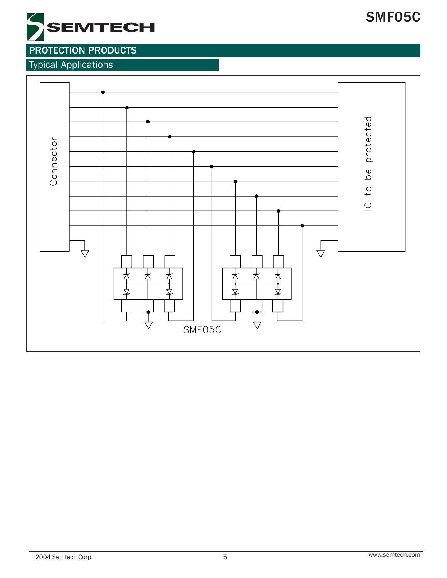# SMF05C



## PROTECTION PRODUCTS

Typical Applications

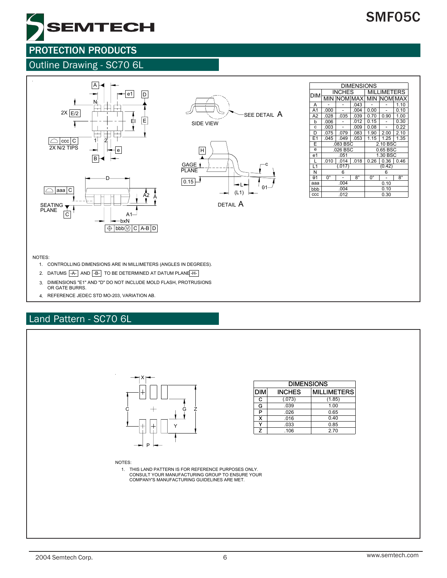

### Outline Drawing - SC70 6L





|  | <b>DIM</b>     |             | <b>INCHES</b>      |           |          | <b>MILLIMETERS</b> |           |  |  |
|--|----------------|-------------|--------------------|-----------|----------|--------------------|-----------|--|--|
|  |                |             | <b>MIN NOMIMAX</b> |           | MIN      | <b>NOM MAX</b>     |           |  |  |
|  | A              |             |                    | .043      |          |                    | 1.10      |  |  |
|  | A <sub>1</sub> | .000        |                    | .004      | 0.00     |                    | 0.10      |  |  |
|  | A2             | .028        | .035               | .039      | 0.70     | 0.90               | 1.00      |  |  |
|  | b              | .006        |                    | .012      | 0.15     |                    | 0.30      |  |  |
|  | C              | .003        |                    | .009      | 0.08     |                    | 0.22      |  |  |
|  | D              | .075        | .079               | .083      | 1.90     | 2.00               | 2.10      |  |  |
|  | E1             | .045        | .049               | .053      | 1.15     | 1.25               | 1.35      |  |  |
|  | E              |             | .083 BSC           |           |          | 2.10 BSC           |           |  |  |
|  | e              | .026 BSC    |                    |           | 0.65 BSC |                    |           |  |  |
|  | e <sub>1</sub> |             | .051               |           |          | 1.30 BSC           |           |  |  |
|  | L              | .010        | .014               | .018      | 0.26     | 0.36               | 0.46      |  |  |
|  | L1             | (.017)      |                    |           | (0.42)   |                    |           |  |  |
|  | N              |             | 6                  |           |          | 6                  |           |  |  |
|  | $\theta$ 1     | $0^{\circ}$ |                    | $8^\circ$ | 0°       |                    | $8^\circ$ |  |  |
|  | aaa            |             | .004               |           | 0.10     |                    |           |  |  |
|  | bbb            | .004        |                    |           | 0.10     |                    |           |  |  |
|  | CCC            | .012        |                    |           | 0.30     |                    |           |  |  |

DIMENSIONS

#### NOTES:

- CONTROLLING DIMENSIONS ARE IN MILLIMETERS (ANGLES IN DEGREES). 1.
- 2. DATUMS |-A- | AND |-B- | TO BE DETERMINED AT DATUM PLANE -H-
- 3. DIMENSIONS "E1" AND "D" DO NOT INCLUDE MOLD FLASH, PROTRUSIONS OR GATE BURRS.
- 4. REFERENCE JEDEC STD MO-203, VARIATION AB.

### Land Pattern - SC70 6L



# SMF05C